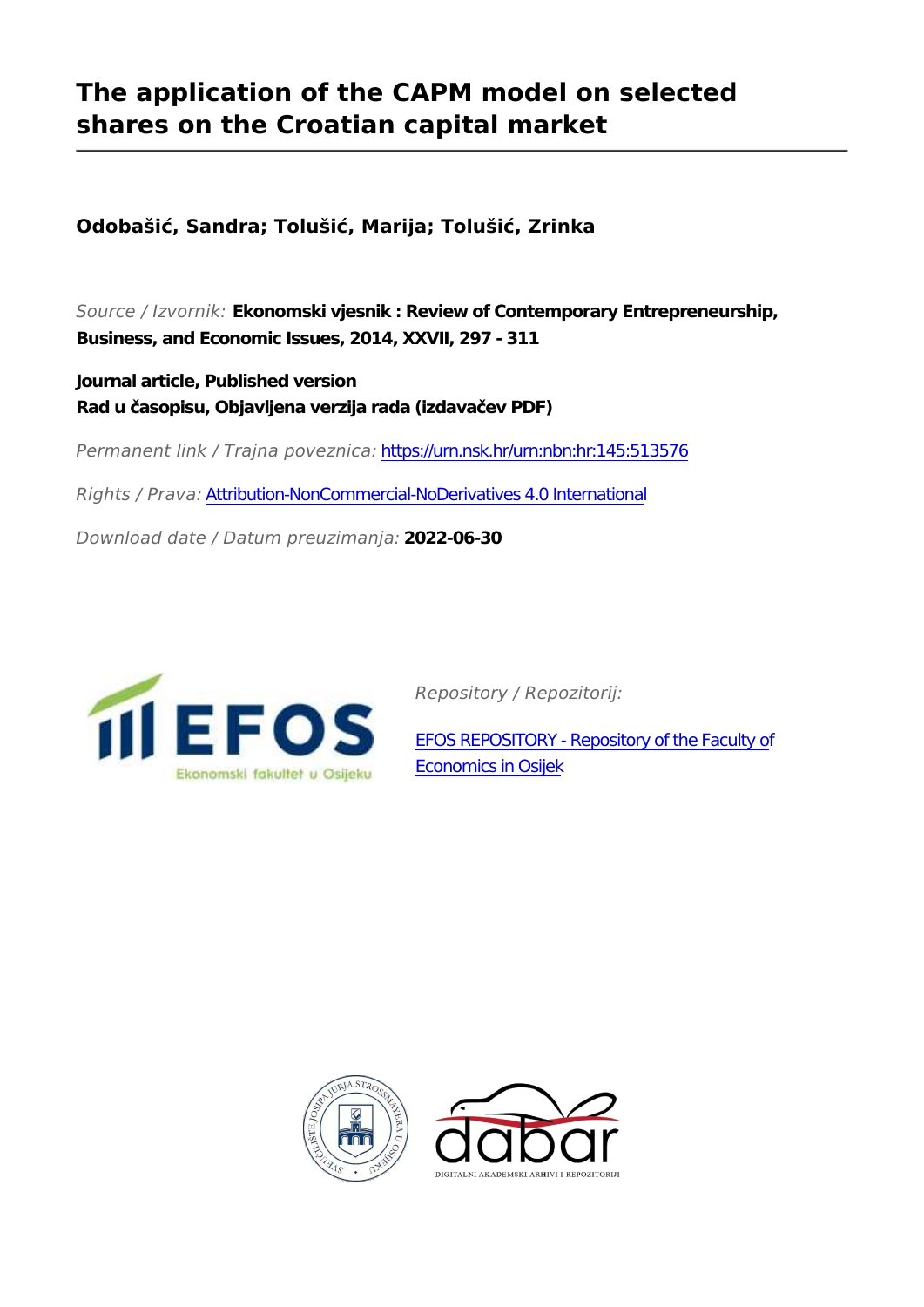## **The application of the CAPM model on selected shares on the Croatian capital market**

**Odobašić, Sandra; Tolušić, Marija; Tolušić, Zrinka**

*Source / Izvornik:* **Ekonomski vjesnik : Review of Contemporary Entrepreneurship, Business, and Economic Issues, 2014, XXVII, 297 - 311**

**Journal article, Published version Rad u časopisu, Objavljena verzija rada (izdavačev PDF)**

*Permanent link / Trajna poveznica:* <https://urn.nsk.hr/urn:nbn:hr:145:513576>

*Rights / Prava:* [Attribution-NonCommercial-NoDerivatives 4.0 International](http://creativecommons.org/licenses/by-nc-nd/4.0/)

*Download date / Datum preuzimanja:* **2022-06-30**



*Repository / Repozitorij:*

[EFOS REPOSITORY - Repository of the Faculty o](https://repozitorij.efos.hr)f [Economics in Osijek](https://repozitorij.efos.hr)



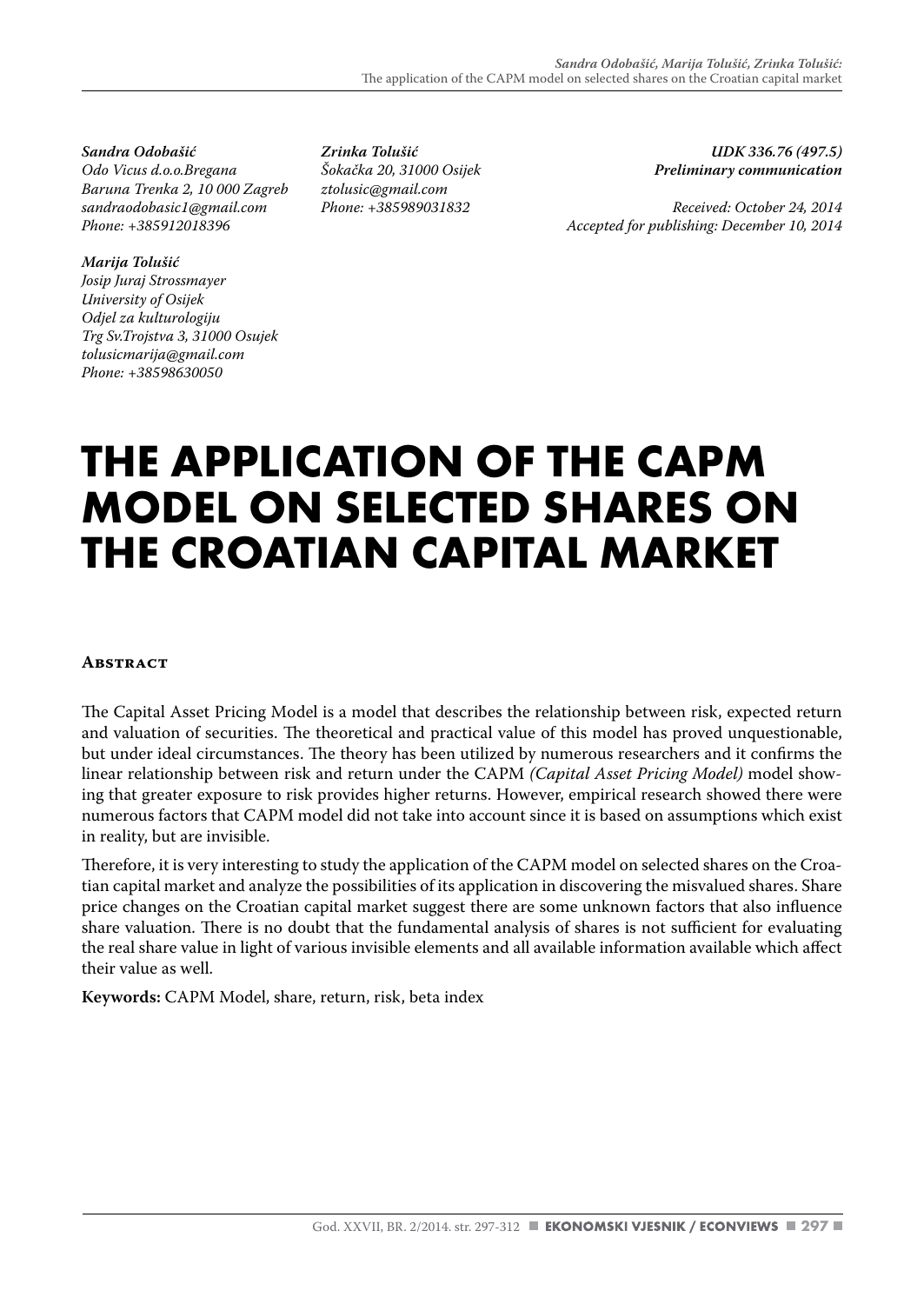*Sandra Odobašić Odo Vicus d.o.o.Bregana Baruna Trenka 2, 10 000 Zagreb sandraodobasic1@gmail.com Phone: +385912018396*

#### *Marija Tolušić*

*Josip Juraj Strossmayer University of Osijek Odjel za kulturologiju Trg Sv.Trojstva 3, 31000 Osujek tolusicmarija@gmail.com Phone: +38598630050*

*Zrinka Tolušić Šokačka 20, 31000 Osijek ztolusic@gmail.com Phone: +385989031832*

*UDK 336.76 (497.5) Preliminary communication*

*Received: October 24, 2014 Accepted for publishing: December 10, 2014*

# **THE APPLICATION OF THE CAPM MODEL ON SELECTED SHARES ON THE CROATIAN CAPITAL MARKET**

#### **Abstract**

The Capital Asset Pricing Model is a model that describes the relationship between risk, expected return and valuation of securities. The theoretical and practical value of this model has proved unquestionable, but under ideal circumstances. The theory has been utilized by numerous researchers and it confirms the linear relationship between risk and return under the CAPM *(Capital Asset Pricing Model)* model showing that greater exposure to risk provides higher returns. However, empirical research showed there were numerous factors that CAPM model did not take into account since it is based on assumptions which exist in reality, but are invisible.

Therefore, it is very interesting to study the application of the CAPM model on selected shares on the Croatian capital market and analyze the possibilities of its application in discovering the misvalued shares. Share price changes on the Croatian capital market suggest there are some unknown factors that also influence share valuation. There is no doubt that the fundamental analysis of shares is not sufficient for evaluating the real share value in light of various invisible elements and all available information available which affect their value as well.

**Keywords:** CAPM Model, share, return, risk, beta index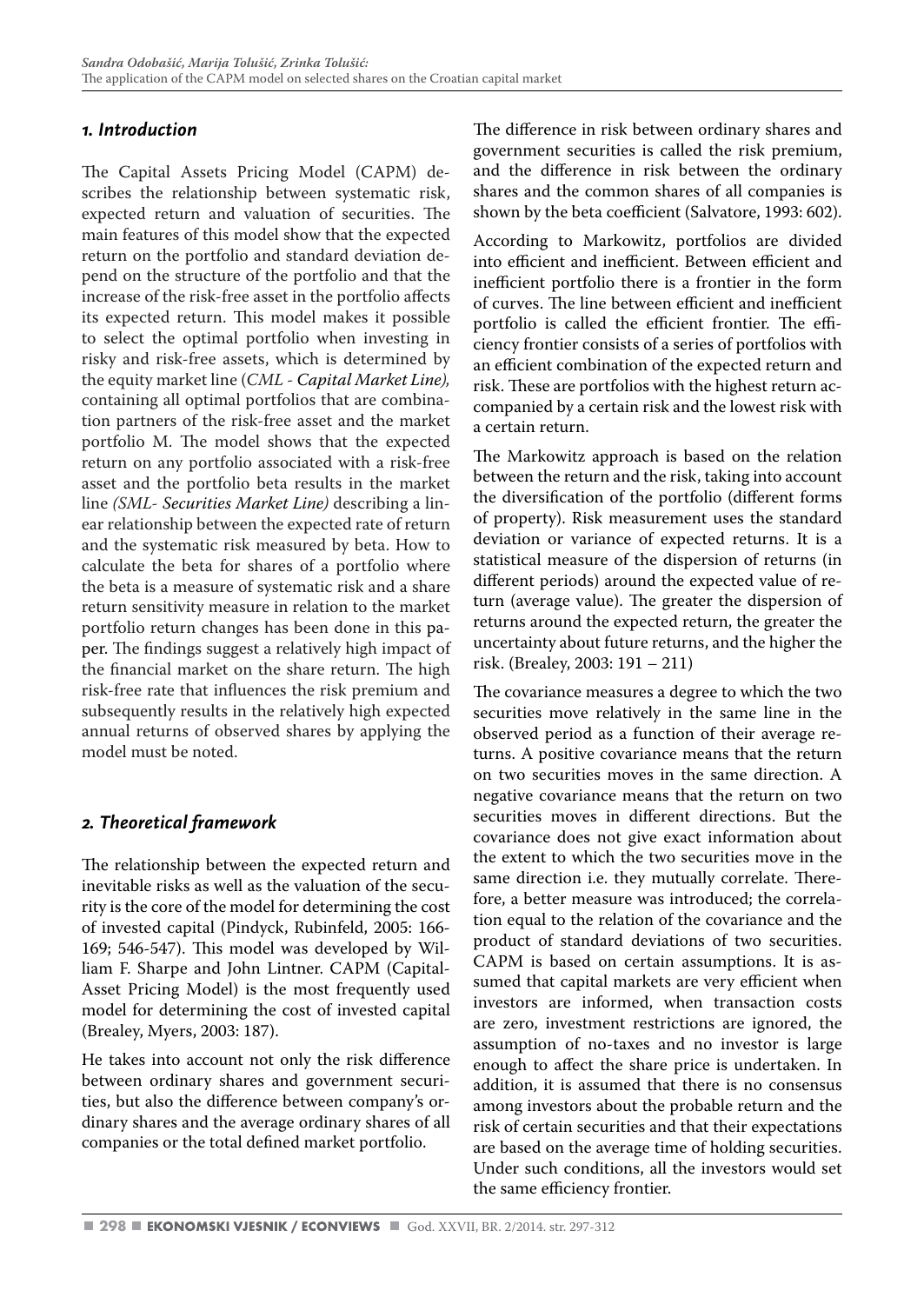#### *1. Introduction*

The Capital Assets Pricing Model (CAPM) describes the relationship between systematic risk, expected return and valuation of securities. The main features of this model show that the expected return on the portfolio and standard deviation depend on the structure of the portfolio and that the increase of the risk-free asset in the portfolio affects its expected return. This model makes it possible to select the optimal portfolio when investing in risky and risk-free assets, which is determined by the equity market line (*CML - Capital Market Line),*  containing all optimal portfolios that are combination partners of the risk-free asset and the market portfolio M. The model shows that the expected return on any portfolio associated with a risk-free asset and the portfolio beta results in the market line *(SML- Securities Market Line)* describing a linear relationship between the expected rate of return and the systematic risk measured by beta. How to calculate the beta for shares of a portfolio where the beta is a measure of systematic risk and a share return sensitivity measure in relation to the market portfolio return changes has been done in this paper. The findings suggest a relatively high impact of the financial market on the share return. The high risk-free rate that influences the risk premium and subsequently results in the relatively high expected annual returns of observed shares by applying the model must be noted.

## *2. Theoretical framework*

The relationship between the expected return and inevitable risks as well as the valuation of the security is the core of the model for determining the cost of invested capital (Pindyck, Rubinfeld, 2005: 166- 169; 546-547). This model was developed by William F. Sharpe and John Lintner. CAPM (Capital-Asset Pricing Model) is the most frequently used model for determining the cost of invested capital (Brealey, Myers, 2003: 187).

He takes into account not only the risk difference between ordinary shares and government securities, but also the difference between company's ordinary shares and the average ordinary shares of all companies or the total defined market portfolio.

The difference in risk between ordinary shares and government securities is called the risk premium, and the difference in risk between the ordinary shares and the common shares of all companies is shown by the beta coefficient (Salvatore, 1993: 602).

According to Markowitz, portfolios are divided into efficient and inefficient. Between efficient and inefficient portfolio there is a frontier in the form of curves. The line between efficient and inefficient portfolio is called the efficient frontier. The efficiency frontier consists of a series of portfolios with an efficient combination of the expected return and risk. These are portfolios with the highest return accompanied by a certain risk and the lowest risk with a certain return.

The Markowitz approach is based on the relation between the return and the risk, taking into account the diversification of the portfolio (different forms of property). Risk measurement uses the standard deviation or variance of expected returns. It is a statistical measure of the dispersion of returns (in different periods) around the expected value of return (average value). The greater the dispersion of returns around the expected return, the greater the uncertainty about future returns, and the higher the risk. (Brealey, 2003: 191 – 211)

The covariance measures a degree to which the two securities move relatively in the same line in the observed period as a function of their average returns. A positive covariance means that the return on two securities moves in the same direction. A negative covariance means that the return on two securities moves in different directions. But the covariance does not give exact information about the extent to which the two securities move in the same direction i.e. they mutually correlate. Therefore, a better measure was introduced; the correlation equal to the relation of the covariance and the product of standard deviations of two securities. CAPM is based on certain assumptions. It is assumed that capital markets are very efficient when investors are informed, when transaction costs are zero, investment restrictions are ignored, the assumption of no-taxes and no investor is large enough to affect the share price is undertaken. In addition, it is assumed that there is no consensus among investors about the probable return and the risk of certain securities and that their expectations are based on the average time of holding securities. Under such conditions, all the investors would set the same efficiency frontier.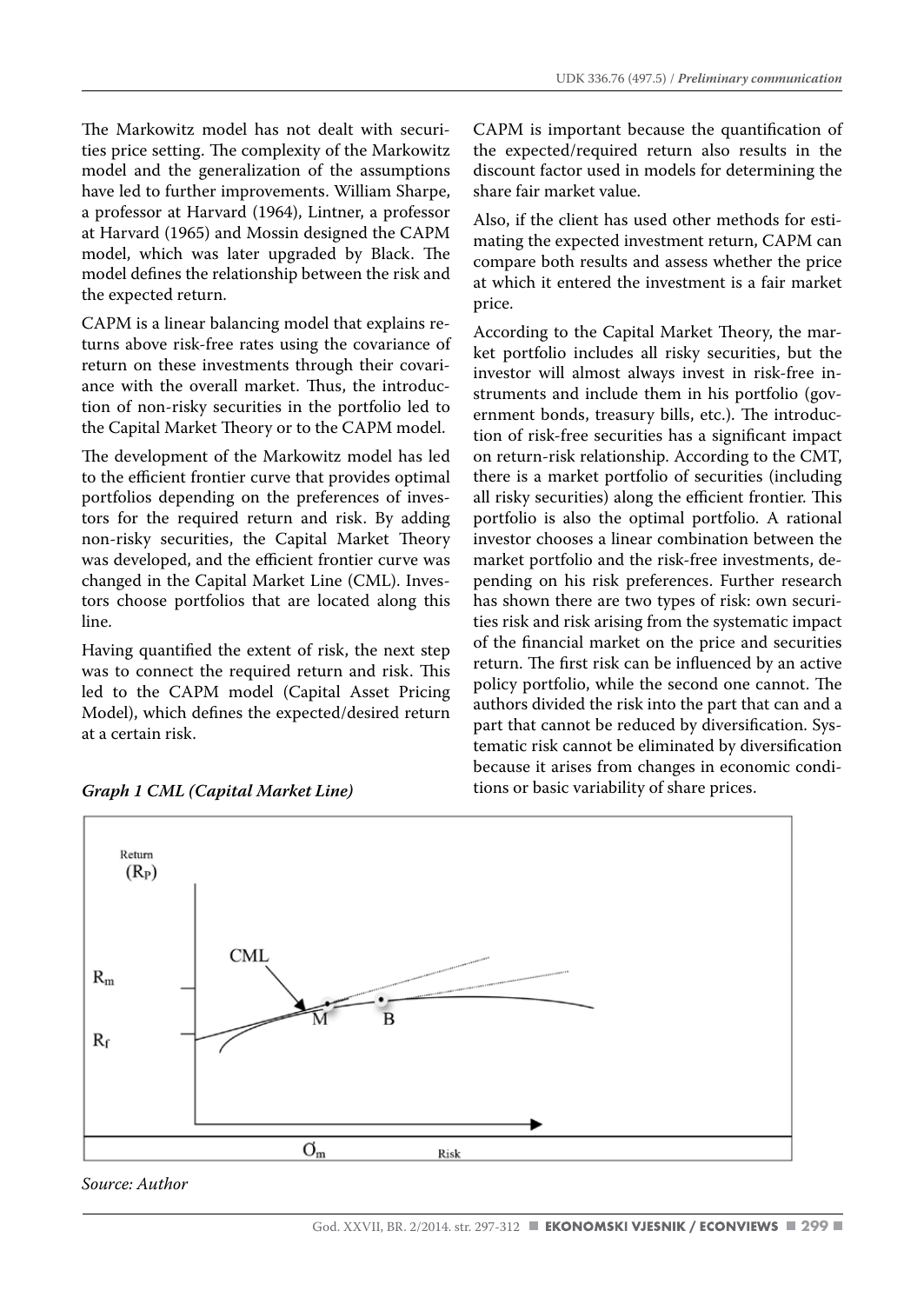The Markowitz model has not dealt with securities price setting. The complexity of the Markowitz model and the generalization of the assumptions have led to further improvements. William Sharpe, a professor at Harvard (1964), Lintner, a professor at Harvard (1965) and Mossin designed the CAPM model, which was later upgraded by Black. The model defines the relationship between the risk and the expected return.

CAPM is a linear balancing model that explains returns above risk-free rates using the covariance of return on these investments through their covariance with the overall market. Thus, the introduction of non-risky securities in the portfolio led to the Capital Market Theory or to the CAPM model.

The development of the Markowitz model has led to the efficient frontier curve that provides optimal portfolios depending on the preferences of investors for the required return and risk. By adding non-risky securities, the Capital Market Theory was developed, and the efficient frontier curve was changed in the Capital Market Line (CML). Investors choose portfolios that are located along this line.

Having quantified the extent of risk, the next step was to connect the required return and risk. This led to the CAPM model (Capital Asset Pricing Model), which defines the expected/desired return at a certain risk.

CAPM is important because the quantification of the expected/required return also results in the discount factor used in models for determining the share fair market value.

Also, if the client has used other methods for estimating the expected investment return, CAPM can compare both results and assess whether the price at which it entered the investment is a fair market price.

According to the Capital Market Theory, the market portfolio includes all risky securities, but the investor will almost always invest in risk-free instruments and include them in his portfolio (government bonds, treasury bills, etc.). The introduction of risk-free securities has a significant impact on return-risk relationship. According to the CMT, there is a market portfolio of securities (including all risky securities) along the efficient frontier. This portfolio is also the optimal portfolio. A rational investor chooses a linear combination between the market portfolio and the risk-free investments, depending on his risk preferences. Further research has shown there are two types of risk: own securities risk and risk arising from the systematic impact of the financial market on the price and securities return. The first risk can be influenced by an active policy portfolio, while the second one cannot. The authors divided the risk into the part that can and a part that cannot be reduced by diversification. Systematic risk cannot be eliminated by diversification because it arises from changes in economic conditions or basic variability of share prices.



#### *Graph 1 CML (Capital Market Line)*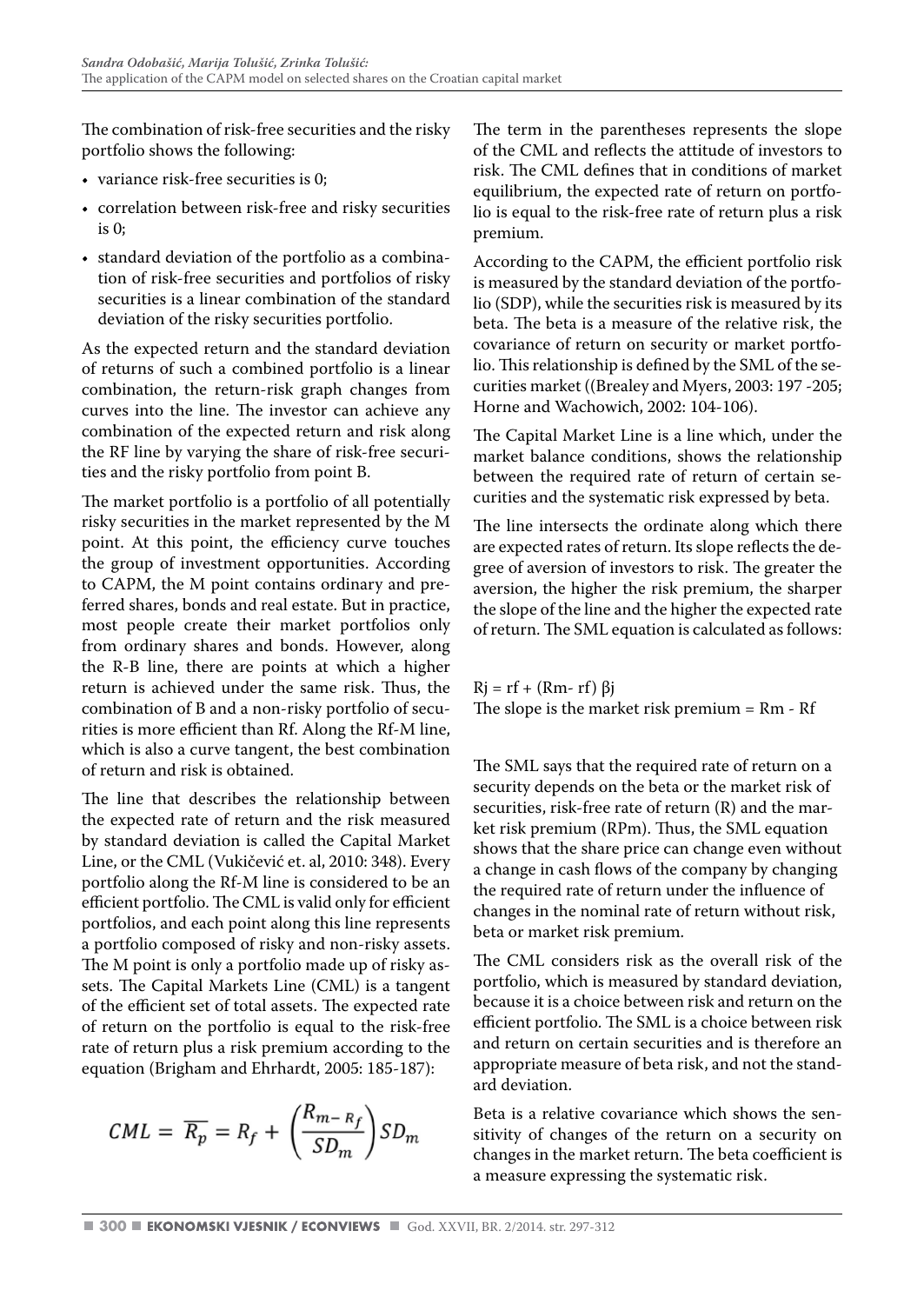The combination of risk-free securities and the risky portfolio shows the following:

- variance risk-free securities is 0;
- correlation between risk-free and risky securities is 0;
- standard deviation of the portfolio as a combination of risk-free securities and portfolios of risky securities is a linear combination of the standard deviation of the risky securities portfolio.

As the expected return and the standard deviation of returns of such a combined portfolio is a linear combination, the return-risk graph changes from curves into the line. The investor can achieve any combination of the expected return and risk along the RF line by varying the share of risk-free securities and the risky portfolio from point B.

The market portfolio is a portfolio of all potentially risky securities in the market represented by the M point. At this point, the efficiency curve touches the group of investment opportunities. According to CAPM, the M point contains ordinary and preferred shares, bonds and real estate. But in practice, most people create their market portfolios only from ordinary shares and bonds. However, along the R-B line, there are points at which a higher return is achieved under the same risk. Thus, the combination of B and a non-risky portfolio of securities is more efficient than Rf. Along the Rf-M line, which is also a curve tangent, the best combination of return and risk is obtained.

The line that describes the relationship between the expected rate of return and the risk measured by standard deviation is called the Capital Market Line, or the CML (Vukičević et. al, 2010: 348). Every portfolio along the Rf-M line is considered to be an efficient portfolio. The CML is valid only for efficient portfolios, and each point along this line represents a portfolio composed of risky and non-risky assets. The M point is only a portfolio made up of risky assets. The Capital Markets Line (CML) is a tangent of the efficient set of total assets. The expected rate of return on the portfolio is equal to the risk-free rate of return plus a risk premium according to the equation (Brigham and Ehrhardt, 2005: 185-187):

$$
CML = \overline{R_p} = R_f + \left(\frac{R_{m-R_f}}{SD_m}\right) SD_m
$$

The term in the parentheses represents the slope of the CML and reflects the attitude of investors to risk. The CML defines that in conditions of market equilibrium, the expected rate of return on portfolio is equal to the risk-free rate of return plus a risk premium.

According to the CAPM, the efficient portfolio risk is measured by the standard deviation of the portfolio (SDP), while the securities risk is measured by its beta. The beta is a measure of the relative risk, the covariance of return on security or market portfolio. This relationship is defined by the SML of the securities market ((Brealey and Myers, 2003: 197 -205; Horne and Wachowich, 2002: 104-106).

The Capital Market Line is a line which, under the market balance conditions, shows the relationship between the required rate of return of certain securities and the systematic risk expressed by beta.

The line intersects the ordinate along which there are expected rates of return. Its slope reflects the degree of aversion of investors to risk. The greater the aversion, the higher the risk premium, the sharper the slope of the line and the higher the expected rate of return. The SML equation is calculated as follows:

 $Rj = rf + (Rm - rf) \beta j$ The slope is the market risk premium = Rm - Rf

The SML says that the required rate of return on a security depends on the beta or the market risk of securities, risk-free rate of return (R) and the market risk premium (RPm). Thus, the SML equation shows that the share price can change even without a change in cash flows of the company by changing the required rate of return under the influence of changes in the nominal rate of return without risk, beta or market risk premium.

The CML considers risk as the overall risk of the portfolio, which is measured by standard deviation, because it is a choice between risk and return on the efficient portfolio. The SML is a choice between risk and return on certain securities and is therefore an appropriate measure of beta risk, and not the standard deviation.

Beta is a relative covariance which shows the sensitivity of changes of the return on a security on changes in the market return. The beta coefficient is a measure expressing the systematic risk.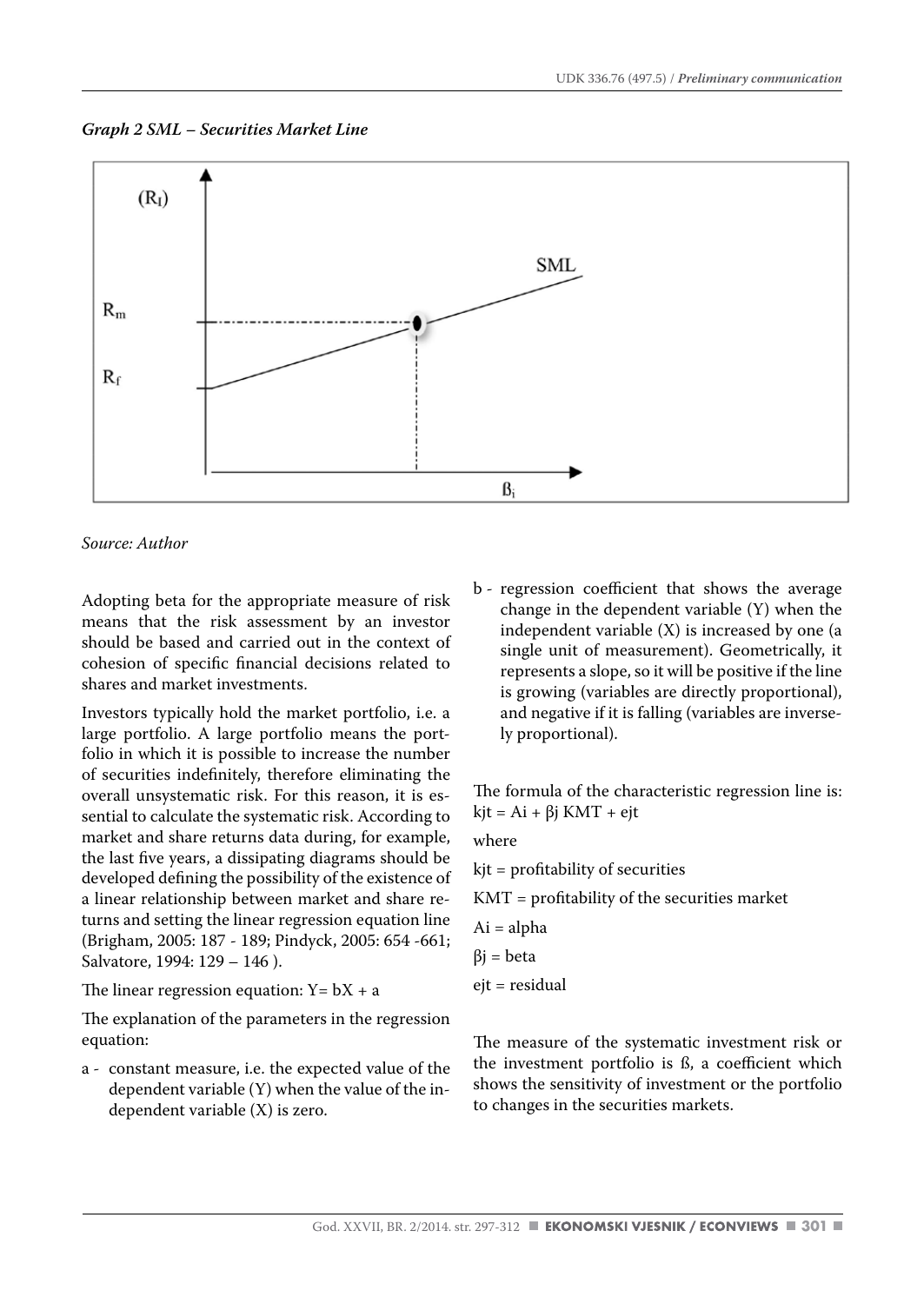*Graph 2 SML – Securities Market Line*



*Source: Author* 

Adopting beta for the appropriate measure of risk means that the risk assessment by an investor should be based and carried out in the context of cohesion of specific financial decisions related to shares and market investments.

Investors typically hold the market portfolio, i.e. a large portfolio. A large portfolio means the portfolio in which it is possible to increase the number of securities indefinitely, therefore eliminating the overall unsystematic risk. For this reason, it is essential to calculate the systematic risk. According to market and share returns data during, for example, the last five years, a dissipating diagrams should be developed defining the possibility of the existence of a linear relationship between market and share returns and setting the linear regression equation line (Brigham, 2005: 187 - 189; Pindyck, 2005: 654 -661; Salvatore, 1994: 129 – 146 ).

The linear regression equation:  $Y = bX + a$ 

The explanation of the parameters in the regression equation:

a - constant measure, i.e. the expected value of the dependent variable (Y) when the value of the independent variable (X) is zero.

b - regression coefficient that shows the average change in the dependent variable (Y) when the independent variable (X) is increased by one (a single unit of measurement). Geometrically, it represents a slope, so it will be positive if the line is growing (variables are directly proportional), and negative if it is falling (variables are inversely proportional).

The formula of the characteristic regression line is: kjt = Ai +  $β$ j KMT + ejt

where

kjt = profitability of securities

KMT = profitability of the securities market

Ai = alpha

$$
\beta j = beta
$$

ejt = residual

The measure of the systematic investment risk or the investment portfolio is ß, a coefficient which shows the sensitivity of investment or the portfolio to changes in the securities markets.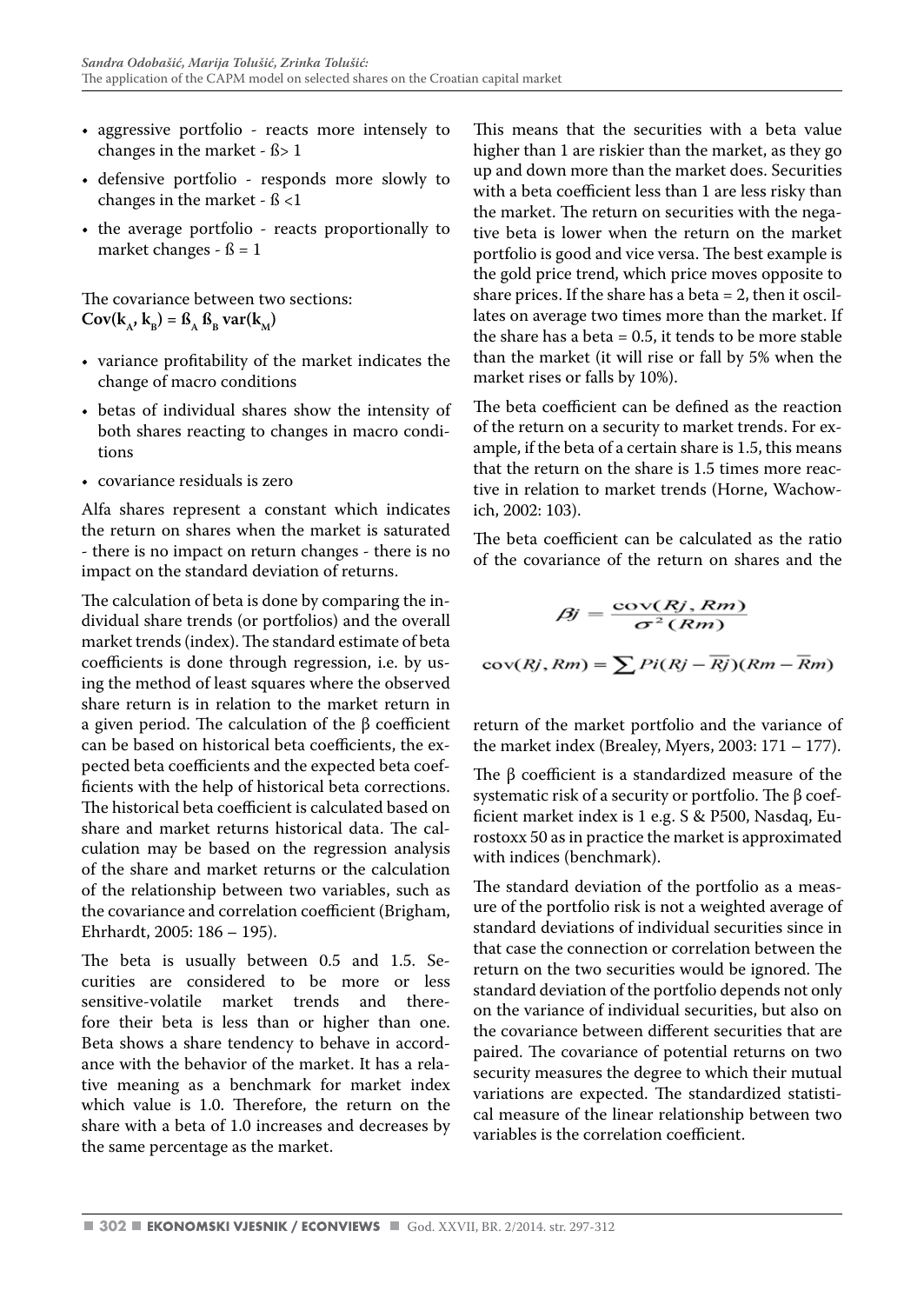- aggressive portfolio reacts more intensely to changes in the market - ß> 1
- defensive portfolio responds more slowly to changes in the market - ß <1
- the average portfolio reacts proportionally to market changes -  $\beta = 1$

The covariance between two sections:  $Cov(k_A, k_B) = \beta_A \beta_B var(k_M)$ 

- variance profitability of the market indicates the change of macro conditions
- betas of individual shares show the intensity of both shares reacting to changes in macro conditions
- covariance residuals is zero

Alfa shares represent a constant which indicates the return on shares when the market is saturated - there is no impact on return changes - there is no impact on the standard deviation of returns.

The calculation of beta is done by comparing the individual share trends (or portfolios) and the overall market trends (index). The standard estimate of beta coefficients is done through regression, i.e. by using the method of least squares where the observed share return is in relation to the market return in a given period. The calculation of the β coefficient can be based on historical beta coefficients, the expected beta coefficients and the expected beta coefficients with the help of historical beta corrections. The historical beta coefficient is calculated based on share and market returns historical data. The calculation may be based on the regression analysis of the share and market returns or the calculation of the relationship between two variables, such as the covariance and correlation coefficient (Brigham, Ehrhardt, 2005: 186 – 195).

The beta is usually between 0.5 and 1.5. Securities are considered to be more or less sensitive-volatile market trends and therefore their beta is less than or higher than one. Beta shows a share tendency to behave in accordance with the behavior of the market. It has a relative meaning as a benchmark for market index which value is 1.0. Therefore, the return on the share with a beta of 1.0 increases and decreases by the same percentage as the market.

This means that the securities with a beta value higher than 1 are riskier than the market, as they go up and down more than the market does. Securities with a beta coefficient less than 1 are less risky than the market. The return on securities with the negative beta is lower when the return on the market portfolio is good and vice versa. The best example is the gold price trend, which price moves opposite to share prices. If the share has a beta  $= 2$ , then it oscillates on average two times more than the market. If the share has a beta  $= 0.5$ , it tends to be more stable than the market (it will rise or fall by 5% when the market rises or falls by 10%).

The beta coefficient can be defined as the reaction of the return on a security to market trends. For example, if the beta of a certain share is 1.5, this means that the return on the share is 1.5 times more reactive in relation to market trends (Horne, Wachowich, 2002: 103).

The beta coefficient can be calculated as the ratio of the covariance of the return on shares and the

$$
\beta j = \frac{\text{cov}(Rj, Rm)}{\sigma^2(Rm)}
$$

$$
\text{cov}(Rj, Rm) = \sum P(iRj - \overline{Rj})(Rm - \overline{Rm})
$$

return of the market portfolio and the variance of the market index (Brealey, Myers,  $2003: 171 - 177$ ).

The β coefficient is a standardized measure of the systematic risk of a security or portfolio. The β coefficient market index is 1 e.g. S & P500, Nasdaq, Eurostoxx 50 as in practice the market is approximated with indices (benchmark).

The standard deviation of the portfolio as a measure of the portfolio risk is not a weighted average of standard deviations of individual securities since in that case the connection or correlation between the return on the two securities would be ignored. The standard deviation of the portfolio depends not only on the variance of individual securities, but also on the covariance between different securities that are paired. The covariance of potential returns on two security measures the degree to which their mutual variations are expected. The standardized statistical measure of the linear relationship between two variables is the correlation coefficient.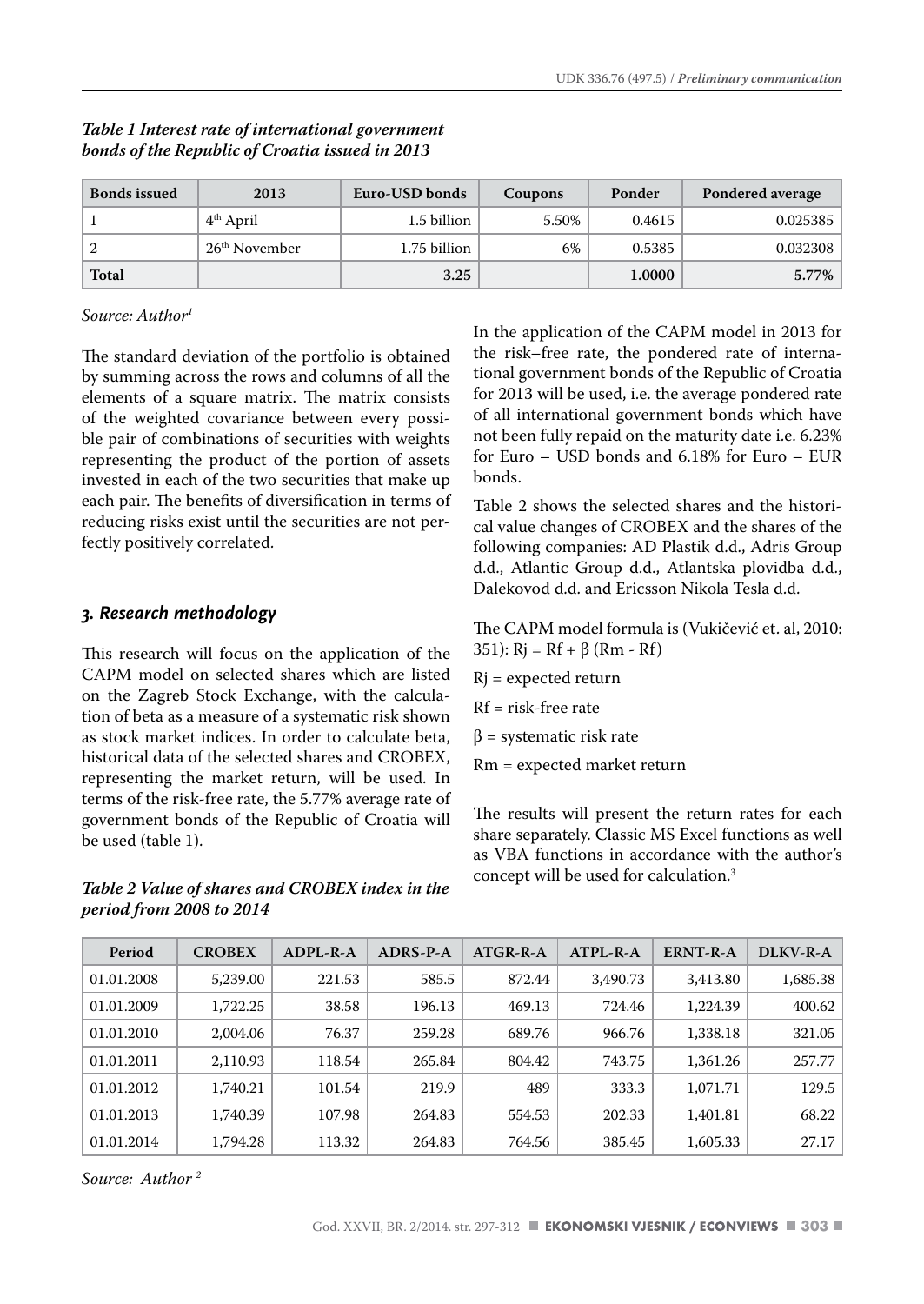| <b>Bonds issued</b> | 2013                      | Euro-USD bonds | Coupons | Ponder | Pondered average |
|---------------------|---------------------------|----------------|---------|--------|------------------|
|                     | $4th$ April               | 1.5 billion    | 5.50%   | 0.4615 | 0.025385         |
|                     | 26 <sup>th</sup> November | 1.75 billion   | 6%      | 0.5385 | 0.032308         |
| Total               |                           | 3.25           |         | 1.0000 | 5.77%            |

#### *Table 1 Interest rate of international government bonds of the Republic of Croatia issued in 2013*

#### *Source: Author1*

The standard deviation of the portfolio is obtained by summing across the rows and columns of all the elements of a square matrix. The matrix consists of the weighted covariance between every possible pair of combinations of securities with weights representing the product of the portion of assets invested in each of the two securities that make up each pair. The benefits of diversification in terms of reducing risks exist until the securities are not perfectly positively correlated.

#### *3. Research methodology*

This research will focus on the application of the CAPM model on selected shares which are listed on the Zagreb Stock Exchange, with the calculation of beta as a measure of a systematic risk shown as stock market indices. In order to calculate beta, historical data of the selected shares and CROBEX, representing the market return, will be used. In terms of the risk-free rate, the 5.77% average rate of government bonds of the Republic of Croatia will be used (table 1).

*Table 2 Value of shares and CROBEX index in the period from 2008 to 2014*

In the application of the CAPM model in 2013 for the risk–free rate, the pondered rate of international government bonds of the Republic of Croatia for 2013 will be used, i.e. the average pondered rate of all international government bonds which have not been fully repaid on the maturity date i.e. 6.23% for Euro – USD bonds and 6.18% for Euro – EUR bonds.

Table 2 shows the selected shares and the historical value changes of CROBEX and the shares of the following companies: AD Plastik d.d., Adris Group d.d., Atlantic Group d.d., Atlantska plovidba d.d., Dalekovod d.d. and Ericsson Nikola Tesla d.d.

The CAPM model formula is (Vukičević et. al, 2010: 351):  $Rj = Rf + \beta (Rm - Rf)$ 

- Rj = expected return
- Rf = risk-free rate
- $β =$  systematic risk rate
- Rm = expected market return

The results will present the return rates for each share separately. Classic MS Excel functions as well as VBA functions in accordance with the author's concept will be used for calculation.3

| Period     | <b>CROBEX</b> | $ADPI - R - A$ | ADRS-P-A | $ATGR-R-A$ | $ATPI - R - A$ | ERNT-R-A | DLKV-R-A |
|------------|---------------|----------------|----------|------------|----------------|----------|----------|
| 01.01.2008 | 5,239.00      | 221.53         | 585.5    | 872.44     | 3.490.73       | 3.413.80 | 1,685.38 |
| 01.01.2009 | 1,722.25      | 38.58          | 196.13   | 469.13     | 724.46         | 1,224.39 | 400.62   |
| 01.01.2010 | 2.004.06      | 76.37          | 259.28   | 689.76     | 966.76         | 1.338.18 | 321.05   |
| 01.01.2011 | 2.110.93      | 118.54         | 265.84   | 804.42     | 743.75         | 1.361.26 | 257.77   |
| 01.01.2012 | 1,740.21      | 101.54         | 219.9    | 489        | 333.3          | 1,071.71 | 129.5    |
| 01.01.2013 | 1,740.39      | 107.98         | 264.83   | 554.53     | 202.33         | 1.401.81 | 68.22    |
| 01.01.2014 | 1,794.28      | 113.32         | 264.83   | 764.56     | 385.45         | 1,605.33 | 27.17    |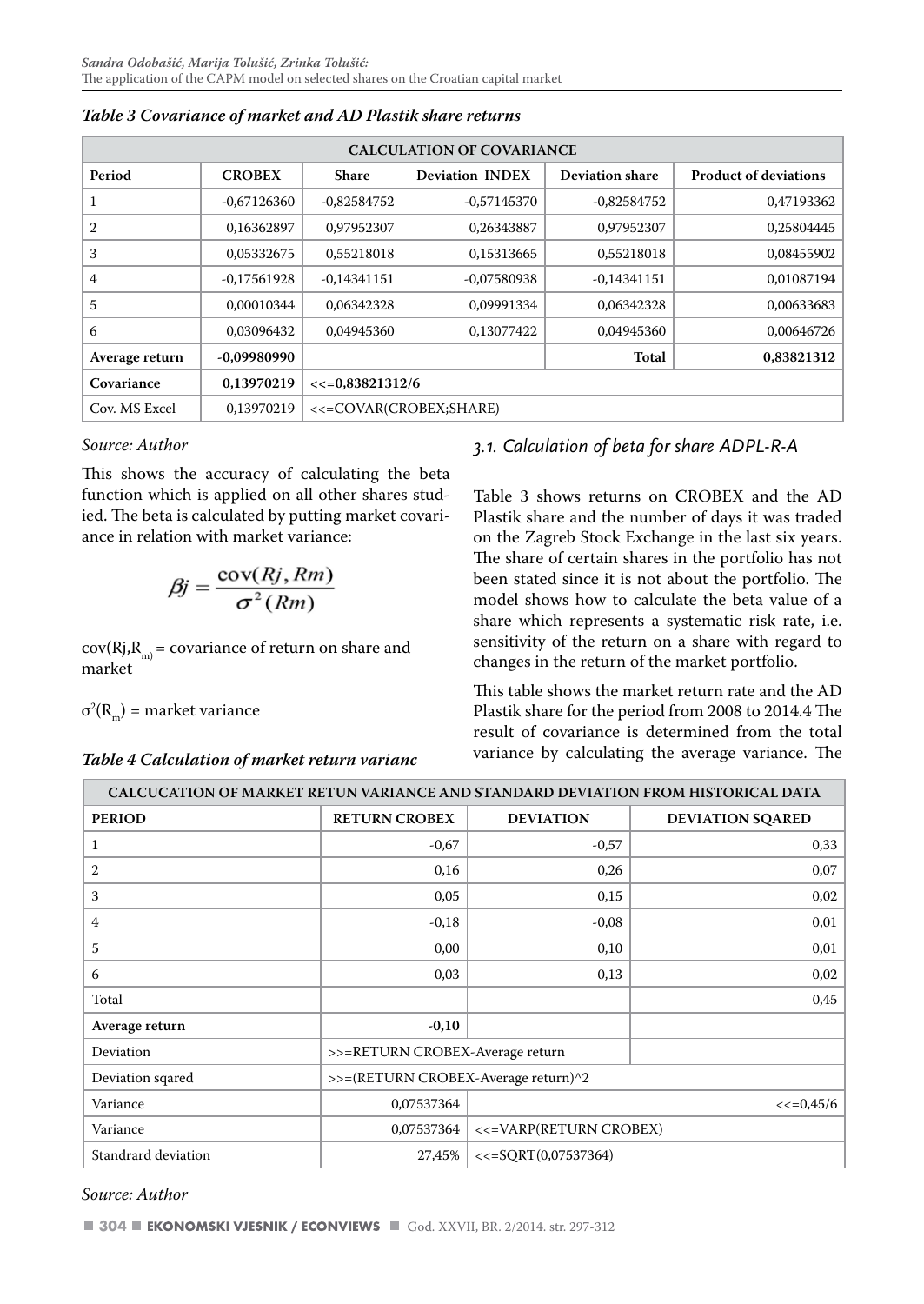| <b>CALCULATION OF COVARIANCE</b> |               |                   |                        |                        |                              |  |  |  |  |  |
|----------------------------------|---------------|-------------------|------------------------|------------------------|------------------------------|--|--|--|--|--|
| Period                           | <b>CROBEX</b> | <b>Share</b>      | <b>Deviation INDEX</b> | <b>Deviation share</b> | <b>Product of deviations</b> |  |  |  |  |  |
| 1                                | $-0.67126360$ | $-0.82584752$     | -0.57145370            | $-0.82584752$          | 0.47193362                   |  |  |  |  |  |
| 2                                | 0,16362897    | 0.97952307        | 0,26343887             | 0.97952307             | 0.25804445                   |  |  |  |  |  |
| 3                                | 0,05332675    | 0,55218018        | 0,15313665             | 0,55218018             | 0.08455902                   |  |  |  |  |  |
| 4                                | $-0.17561928$ | -0.14341151       | -0.07580938            | $-0.14341151$          | 0.01087194                   |  |  |  |  |  |
| 5                                | 0.00010344    | 0.06342328        | 0.09991334             | 0.06342328             | 0.00633683                   |  |  |  |  |  |
| 6                                | 0.03096432    | 0.04945360        | 0.13077422             | 0.04945360             | 0.00646726                   |  |  |  |  |  |
| Average return                   | -0,09980990   |                   |                        | Total                  | 0,83821312                   |  |  |  |  |  |
| Covariance                       | 0.13970219    | $<<=0.83821312/6$ |                        |                        |                              |  |  |  |  |  |
| Cov. MS Excel                    | 0.13970219    |                   | <<=COVAR(CROBEX;SHARE) |                        |                              |  |  |  |  |  |

*Table 3 Covariance of market and AD Plastik share returns*

#### *Source: Author*

This shows the accuracy of calculating the beta function which is applied on all other shares studied. The beta is calculated by putting market covariance in relation with market variance:

$$
\beta j = \frac{\text{cov}(Rj, Rm)}{\sigma^2(Rm)}
$$

 $cov(Rj, R_m) = covariance of return on share and$ market

 $σ<sup>2</sup>(R<sub>m</sub>)$  = market variance

#### *Table 4 Calculation of market return varianc*

## *3.1. Calculation of beta for share ADPL-R-A*

Table 3 shows returns on CROBEX and the AD Plastik share and the number of days it was traded on the Zagreb Stock Exchange in the last six years. The share of certain shares in the portfolio has not been stated since it is not about the portfolio. The model shows how to calculate the beta value of a share which represents a systematic risk rate, i.e. sensitivity of the return on a share with regard to changes in the return of the market portfolio.

This table shows the market return rate and the AD Plastik share for the period from 2008 to 2014.4 The result of covariance is determined from the total variance by calculating the average variance. The

| CALCUCATION OF MARKET RETUN VARIANCE AND STANDARD DEVIATION FROM HISTORICAL DATA |                                     |                        |                         |  |  |  |  |  |  |
|----------------------------------------------------------------------------------|-------------------------------------|------------------------|-------------------------|--|--|--|--|--|--|
| <b>PERIOD</b>                                                                    | <b>RETURN CROBEX</b>                | <b>DEVIATION</b>       | <b>DEVIATION SOARED</b> |  |  |  |  |  |  |
| $\mathbf{1}$                                                                     | $-0,67$                             | $-0,57$                | 0,33                    |  |  |  |  |  |  |
| $\overline{2}$                                                                   | 0,16                                | 0,26                   | 0,07                    |  |  |  |  |  |  |
| 3                                                                                | 0,05                                | 0,15                   | 0,02                    |  |  |  |  |  |  |
| 4                                                                                | $-0,18$                             | $-0.08$                | 0,01                    |  |  |  |  |  |  |
| 5                                                                                | 0,00                                | 0,10                   | 0,01                    |  |  |  |  |  |  |
| 6                                                                                | 0,03                                | 0,13                   | 0,02                    |  |  |  |  |  |  |
| Total                                                                            |                                     |                        | 0,45                    |  |  |  |  |  |  |
| Average return                                                                   | $-0,10$                             |                        |                         |  |  |  |  |  |  |
| Deviation                                                                        | >>=RETURN CROBEX-Average return     |                        |                         |  |  |  |  |  |  |
| Deviation sqared                                                                 | >>=(RETURN CROBEX-Average return)^2 |                        |                         |  |  |  |  |  |  |
| Variance                                                                         | 0,07537364                          | $<<=0,45/6$            |                         |  |  |  |  |  |  |
| Variance                                                                         | 0,07537364                          | <<=VARP(RETURN CROBEX) |                         |  |  |  |  |  |  |
| Standrard deviation                                                              | 27,45%                              | $<<=SORT(0,07537364)$  |                         |  |  |  |  |  |  |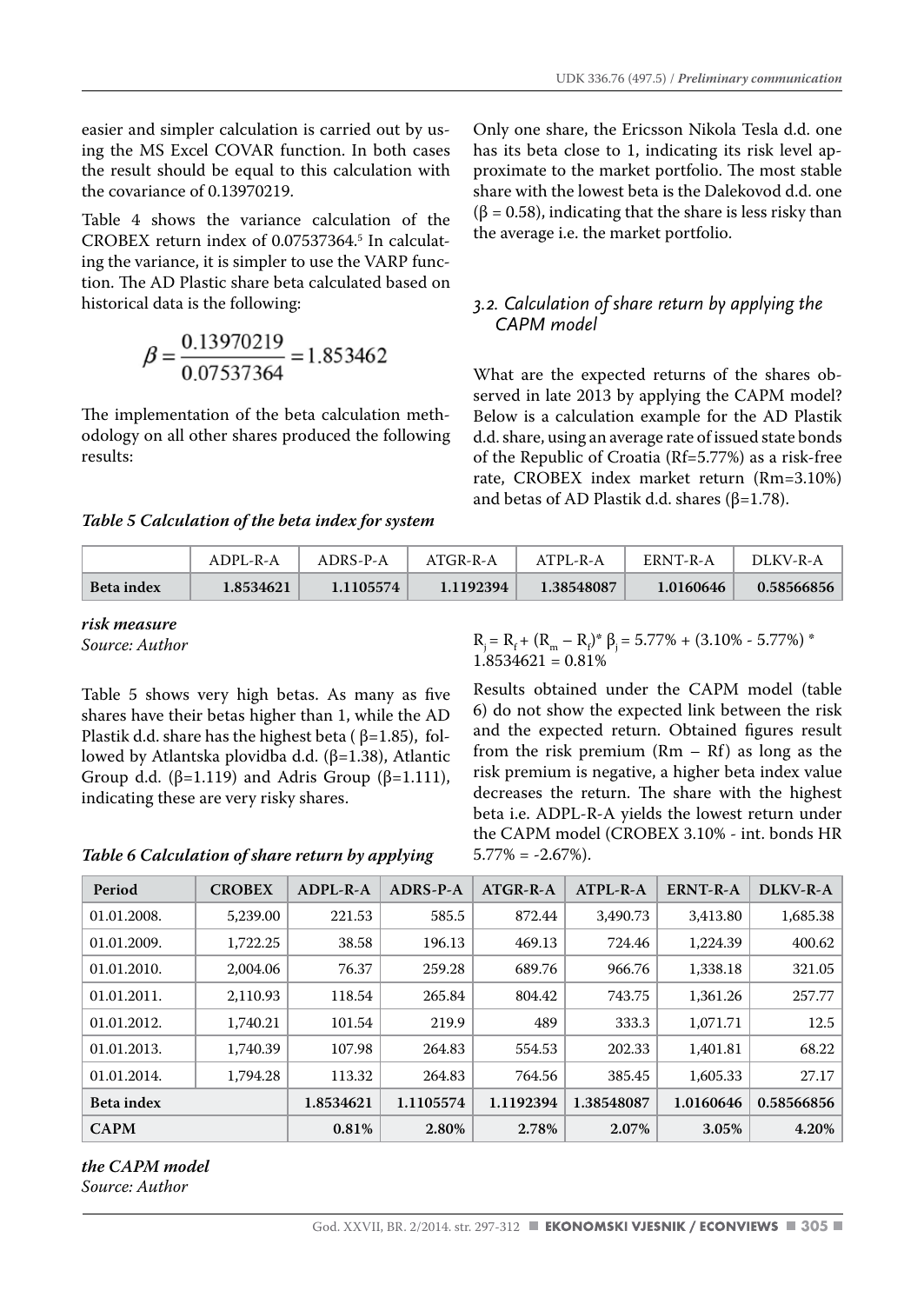easier and simpler calculation is carried out by using the MS Excel COVAR function. In both cases the result should be equal to this calculation with the covariance of 0.13970219.

Table 4 shows the variance calculation of the CROBEX return index of 0.07537364.5 In calculating the variance, it is simpler to use the VARP function. The AD Plastic share beta calculated based on historical data is the following:

$$
\beta = \frac{0.13970219}{0.07537364} = 1.853462
$$

The implementation of the beta calculation methodology on all other shares produced the following results:

*Table 5 Calculation of the beta index for system* 

Only one share, the Ericsson Nikola Tesla d.d. one has its beta close to 1, indicating its risk level approximate to the market portfolio. The most stable share with the lowest beta is the Dalekovod d.d. one  $(\beta = 0.58)$ , indicating that the share is less risky than the average i.e. the market portfolio.

#### *3.2. Calculation of share return by applying the CAPM model*

What are the expected returns of the shares observed in late 2013 by applying the CAPM model? Below is a calculation example for the AD Plastik d.d. share, using an average rate of issued state bonds of the Republic of Croatia (Rf=5.77%) as a risk-free rate, CROBEX index market return (Rm=3.10%) and betas of AD Plastik d.d. shares (β=1.78).

|                   | ADPL-R-A  | ADRS-P-A  | ATGR-R-A  | ATPL-R-A   | ERNT-R-A  | DLKV-R-A   |
|-------------------|-----------|-----------|-----------|------------|-----------|------------|
| <b>Beta</b> index | 1.8534621 | 1.1105574 | 1.1192394 | 1.38548087 | 1.0160646 | 0.58566856 |

*risk measure*

*Source: Author*

Table 5 shows very high betas. As many as five shares have their betas higher than 1, while the AD Plastik d.d. share has the highest beta ( $\beta$ =1.85), followed by Atlantska plovidba d.d. (β=1.38), Atlantic Group d.d. ( $\beta$ =1.119) and Adris Group ( $\beta$ =1.111), indicating these are very risky shares.

#### *Table 6 Calculation of share return by applying*

 $R_j = R_f + (R_m - R_f)^* \beta_j = 5.77\% + (3.10\% - 5.77\%)^*$  $1.8534621 = 0.81%$ 

Results obtained under the CAPM model (table 6) do not show the expected link between the risk and the expected return. Obtained figures result from the risk premium (Rm – Rf) as long as the risk premium is negative, a higher beta index value decreases the return. The share with the highest beta i.e. ADPL-R-A yields the lowest return under the CAPM model (CROBEX 3.10% - int. bonds HR  $5.77\% = -2.67\%$ ).

| Period            | <b>CROBEX</b> | ADPL-R-A  | ADRS-P-A  | ATGR-R-A  | $ATPL-R-A$ | <b>ERNT-R-A</b> | DLKV-R-A   |
|-------------------|---------------|-----------|-----------|-----------|------------|-----------------|------------|
| 01.01.2008.       | 5,239.00      | 221.53    | 585.5     | 872.44    | 3.490.73   | 3.413.80        | 1,685.38   |
| 01.01.2009.       | 1,722.25      | 38.58     | 196.13    | 469.13    | 724.46     | 1,224.39        | 400.62     |
| 01.01.2010.       | 2.004.06      | 76.37     | 259.28    | 689.76    | 966.76     | 1,338.18        | 321.05     |
| 01.01.2011.       | 2.110.93      | 118.54    | 265.84    | 804.42    | 743.75     | 1.361.26        | 257.77     |
| 01.01.2012.       | 1,740.21      | 101.54    | 219.9     | 489       | 333.3      | 1,071.71        | 12.5       |
| 01.01.2013.       | 1,740.39      | 107.98    | 264.83    | 554.53    | 202.33     | 1.401.81        | 68.22      |
| 01.01.2014.       | 1,794.28      | 113.32    | 264.83    | 764.56    | 385.45     | 1,605.33        | 27.17      |
| <b>Beta</b> index |               | 1.8534621 | 1.1105574 | 1.1192394 | 1.38548087 | 1.0160646       | 0.58566856 |
| <b>CAPM</b>       |               | 0.81%     | 2.80%     | 2.78%     | 2.07%      | 3.05%           | 4.20%      |

#### *the CAPM model Source: Author*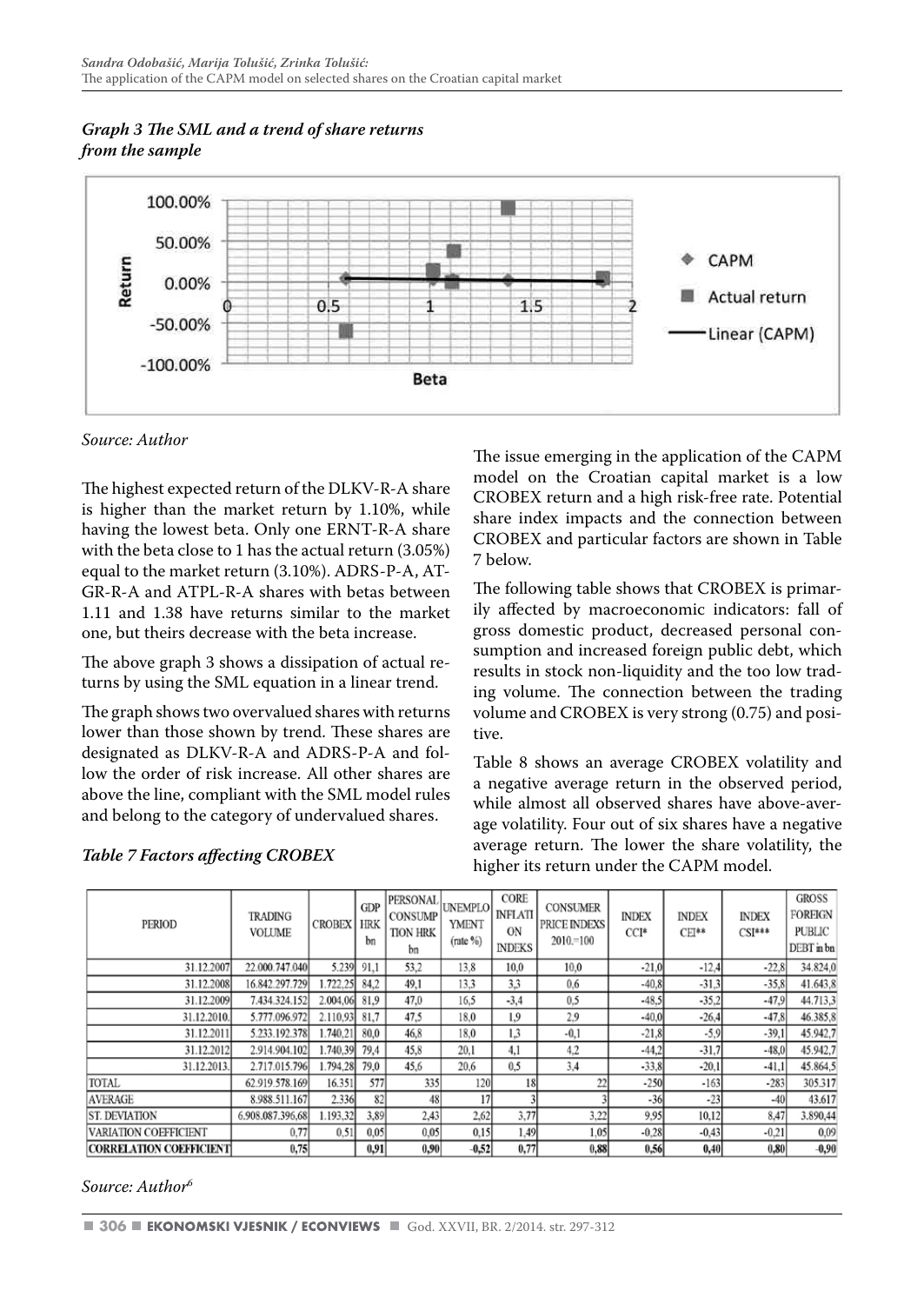



*Source: Author* 

The highest expected return of the DLKV-R-A share is higher than the market return by 1.10%, while having the lowest beta. Only one ERNT-R-A share with the beta close to 1 has the actual return (3.05%) equal to the market return (3.10%). ADRS-P-A, AT-GR-R-A and ATPL-R-A shares with betas between 1.11 and 1.38 have returns similar to the market one, but theirs decrease with the beta increase.

The above graph 3 shows a dissipation of actual returns by using the SML equation in a linear trend.

The graph shows two overvalued shares with returns lower than those shown by trend. These shares are designated as DLKV-R-A and ADRS-P-A and follow the order of risk increase. All other shares are above the line, compliant with the SML model rules and belong to the category of undervalued shares.

#### *Table 7 Factors affecting CROBEX*

The issue emerging in the application of the CAPM model on the Croatian capital market is a low CROBEX return and a high risk-free rate. Potential share index impacts and the connection between CROBEX and particular factors are shown in Table 7 below.

The following table shows that CROBEX is primarily affected by macroeconomic indicators: fall of gross domestic product, decreased personal consumption and increased foreign public debt, which results in stock non-liquidity and the too low trading volume. The connection between the trading volume and CROBEX is very strong (0.75) and positive.

Table 8 shows an average CROBEX volatility and a negative average return in the observed period, while almost all observed shares have above-average volatility. Four out of six shares have a negative average return. The lower the share volatility, the higher its return under the CAPM model.

| PERIOD                         | <b>TRADING</b><br><b>VOLUME</b> | <b>CROBEX</b> | <b>GDP</b><br><b>HRK</b><br>bn | <b>PERSONAL</b><br><b>CONSUMP</b><br><b>TION HRK</b><br>bn | <b>UNEMPLO</b><br><b>YMENT</b><br>$(\text{rate}\%)$ | CORE<br><b>INFLATI</b><br>ON<br><b>INDEKS</b> | <b>CONSUMER</b><br><b>PRICE INDEXS</b><br>$2010 = 100$ | <b>INDEX</b><br>$CCI*$ | <b>INDEX</b><br>$CEI**$ | <b>INDEX</b><br>$CSI***$ | <b>GROSS</b><br><b>FOREIGN</b><br><b>PUBLIC</b><br>DEBT in bn |
|--------------------------------|---------------------------------|---------------|--------------------------------|------------------------------------------------------------|-----------------------------------------------------|-----------------------------------------------|--------------------------------------------------------|------------------------|-------------------------|--------------------------|---------------------------------------------------------------|
| 31.12.2007                     | 22.000.747.040                  | 5.239         | 91,1                           | 53,2                                                       | 13.8                                                | 10,0                                          | 10,0                                                   | $-21.0$                | $-12.4$                 | $-22.8$                  | 34.824,0                                                      |
| 31.12.2008                     | 16.842.297.729                  | 1.722.25      | 84.2                           | 49,1                                                       | 13.3                                                | 3,3                                           | 0.6                                                    | $-40.8$                | $-31.3$                 | $-35,8$                  | 41.643.8                                                      |
| 31.12.2009                     | 7.434.324.152                   | 2.004.06      | 81.9                           | 47,0                                                       | 16.5                                                | $-3.4$                                        | 0.5                                                    | $-48.5$                | $-35.2$                 | $-47.9$                  | 44.713.3                                                      |
| 31.12.2010.                    | 5.777.096.972                   | 2.110.93      | 81.7                           | 47.5                                                       | 18.0                                                | 1.9                                           | 2.9                                                    | $-40.0$                | $-26.4$                 | $-47.8$                  | 46.385.8                                                      |
| 31.12.2011                     | 5.233.192.378                   | 1.740.21      | 80,0                           | 46,8                                                       | 18.0                                                | 1.3                                           | $-0,1$                                                 | $-21.8$                | $-5,9$                  | $-39.1$                  | 45.942,7                                                      |
| 31.12.2012                     | 2.914.904.102                   | 1.740.39      | 79.4                           | 45,8                                                       | 20.1                                                | 4.1                                           | 4.2                                                    | $-44.2$                | $-31.7$                 | $-48.0$                  | 45.942,7                                                      |
| 31.12.2013.                    | 2.717.015.796                   | 1.794.28      | 79,0                           | 45,6                                                       | 20,6                                                | 0.5                                           | 3.4                                                    | $-33.8$                | $-20.1$                 | $-41.1$                  | 45.864,5                                                      |
| TOTAL                          | 62.919.578.169                  | 16.351        | 577                            | 335                                                        | 120                                                 | 18                                            | 22                                                     | $-250$                 | $-163$                  | $-283$                   | 305.317                                                       |
| <b>AVERAGE</b>                 | 8.988.511.167                   | 2.336         | 82                             | 48                                                         | 17                                                  |                                               |                                                        | $-36$                  | $-23$                   | $-40$                    | 43.617                                                        |
| <b>ST. DEVIATION</b>           | 6.908.087.396.68                | 1.193.32      | 3,89                           | 2,43                                                       | 2,62                                                | 3,77                                          | 3.22                                                   | 9.95                   | 10,12                   | 8,47                     | 3.890,44                                                      |
| VARIATION COEFFICIENT          | 0.77                            | 0.51          | 0.05                           | 0.05                                                       | 0.15                                                | 1,49                                          | 1.05                                                   | $-0.28$                | $-0.43$                 | $-0.21$                  | 0,09                                                          |
| <b>CORRELATION COEFFICIENT</b> | 0.75                            |               | 0.91                           | 0.90                                                       | $-0.52$                                             | 0,77                                          | 0,88                                                   | 0,56                   | 0,40                    | 0.80                     | $-0.90$                                                       |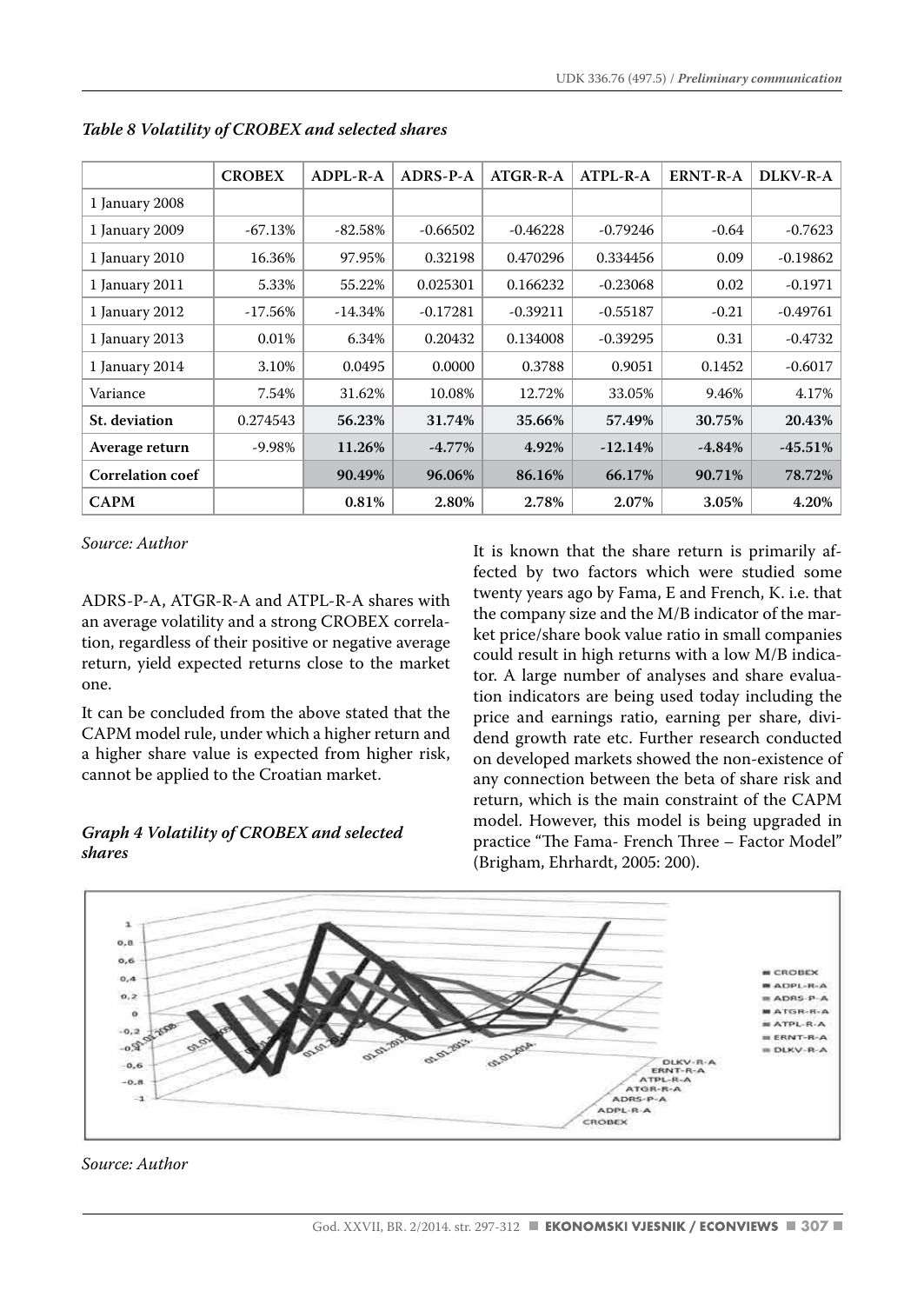|                         | <b>CROBEX</b> | $ADPI - R - A$ | ADRS-P-A   | $ATGR-R-A$ | $ATPL-R-A$ | ERNT-R-A  | DLKV-R-A   |
|-------------------------|---------------|----------------|------------|------------|------------|-----------|------------|
| 1 January 2008          |               |                |            |            |            |           |            |
| 1 January 2009          | $-67.13%$     | $-82.58\%$     | $-0.66502$ | $-0.46228$ | $-0.79246$ | $-0.64$   | $-0.7623$  |
| 1 January 2010          | 16.36%        | 97.95%         | 0.32198    | 0.470296   | 0.334456   | 0.09      | $-0.19862$ |
| 1 January 2011          | 5.33%         | 55.22%         | 0.025301   | 0.166232   | $-0.23068$ | 0.02      | $-0.1971$  |
| 1 January 2012          | $-17.56%$     | $-14.34%$      | $-0.17281$ | $-0.39211$ | $-0.55187$ | $-0.21$   | $-0.49761$ |
| 1 January 2013          | 0.01%         | 6.34%          | 0.20432    | 0.134008   | $-0.39295$ | 0.31      | $-0.4732$  |
| 1 January 2014          | 3.10%         | 0.0495         | 0.0000     | 0.3788     | 0.9051     | 0.1452    | $-0.6017$  |
| Variance                | 7.54%         | 31.62%         | 10.08%     | 12.72%     | 33.05%     | 9.46%     | 4.17%      |
| St. deviation           | 0.274543      | 56.23%         | 31.74%     | 35.66%     | 57.49%     | 30.75%    | 20.43%     |
| Average return          | -9.98%        | 11.26%         | $-4.77\%$  | 4.92%      | $-12.14%$  | $-4.84\%$ | $-45.51\%$ |
| <b>Correlation coef</b> |               | 90.49%         | 96.06%     | 86.16%     | 66.17%     | 90.71%    | 78.72%     |
| <b>CAPM</b>             |               | 0.81%          | 2.80%      | 2.78%      | 2.07%      | 3.05%     | 4.20%      |

*Table 8 Volatility of CROBEX and selected shares*

*Source: Author* 

ADRS-P-A, ATGR-R-A and ATPL-R-A shares with an average volatility and a strong CROBEX correlation, regardless of their positive or negative average return, yield expected returns close to the market one.

It can be concluded from the above stated that the CAPM model rule, under which a higher return and a higher share value is expected from higher risk, cannot be applied to the Croatian market.

#### *Graph 4 Volatility of CROBEX and selected shares*

It is known that the share return is primarily affected by two factors which were studied some twenty years ago by Fama, E and French, K. i.e. that the company size and the M/B indicator of the market price/share book value ratio in small companies could result in high returns with a low M/B indicator. A large number of analyses and share evaluation indicators are being used today including the price and earnings ratio, earning per share, dividend growth rate etc. Further research conducted on developed markets showed the non-existence of any connection between the beta of share risk and return, which is the main constraint of the CAPM model. However, this model is being upgraded in practice "The Fama- French Three – Factor Model" (Brigham, Ehrhardt, 2005: 200).

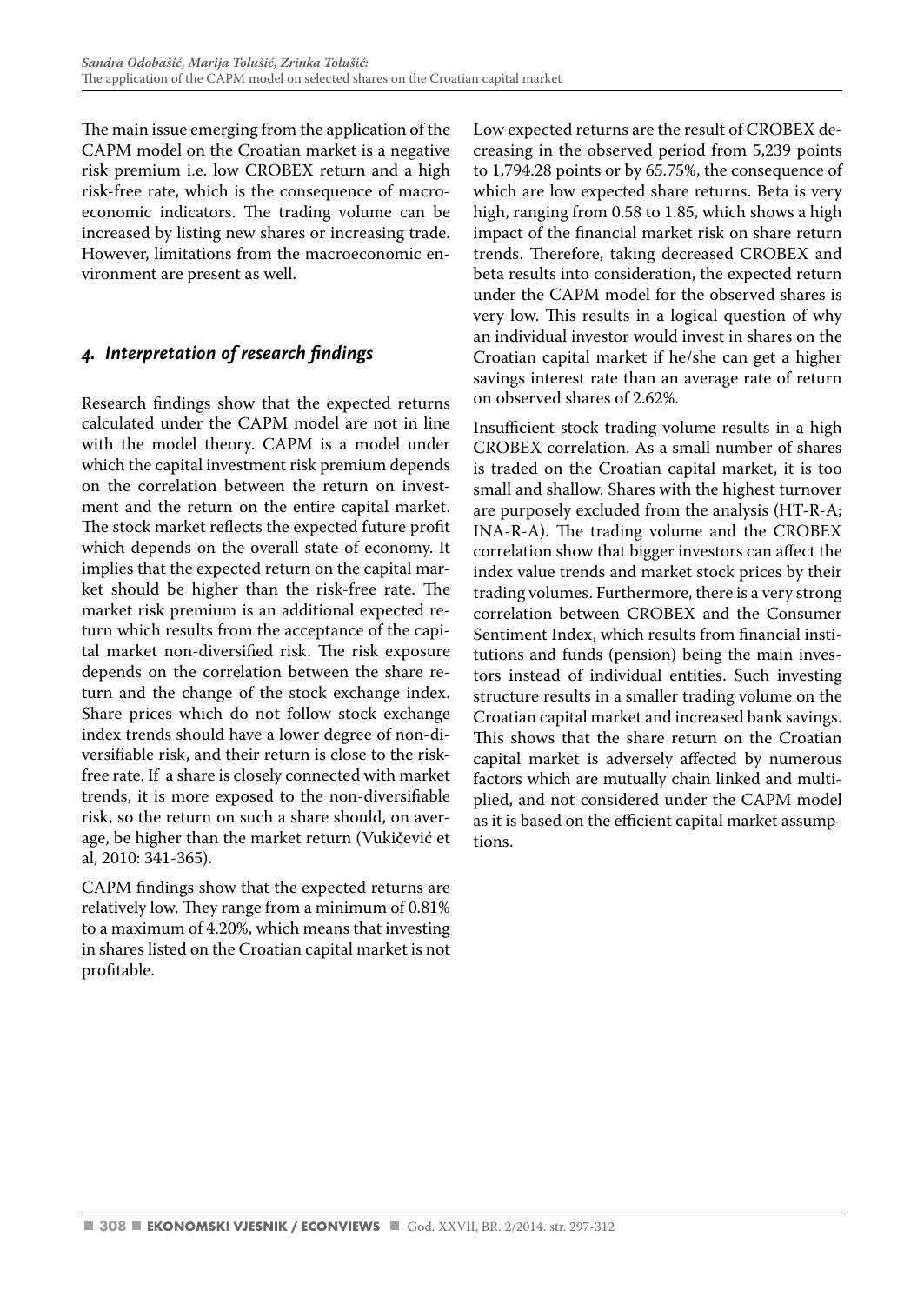The main issue emerging from the application of the CAPM model on the Croatian market is a negative risk premium i.e. low CROBEX return and a high risk-free rate, which is the consequence of macroeconomic indicators. The trading volume can be increased by listing new shares or increasing trade. However, limitations from the macroeconomic environment are present as well.

### *4. Interpretation of research findings*

Research findings show that the expected returns calculated under the CAPM model are not in line with the model theory. CAPM is a model under which the capital investment risk premium depends on the correlation between the return on investment and the return on the entire capital market. The stock market reflects the expected future profit which depends on the overall state of economy. It implies that the expected return on the capital market should be higher than the risk-free rate. The market risk premium is an additional expected return which results from the acceptance of the capital market non-diversified risk. The risk exposure depends on the correlation between the share return and the change of the stock exchange index. Share prices which do not follow stock exchange index trends should have a lower degree of non-diversifiable risk, and their return is close to the riskfree rate. If a share is closely connected with market trends, it is more exposed to the non-diversifiable risk, so the return on such a share should, on average, be higher than the market return (Vukičević et al, 2010: 341-365).

CAPM findings show that the expected returns are relatively low. They range from a minimum of 0.81% to a maximum of 4.20%, which means that investing in shares listed on the Croatian capital market is not profitable.

Low expected returns are the result of CROBEX decreasing in the observed period from 5,239 points to 1,794.28 points or by 65.75%, the consequence of which are low expected share returns. Beta is very high, ranging from 0.58 to 1.85, which shows a high impact of the financial market risk on share return trends. Therefore, taking decreased CROBEX and beta results into consideration, the expected return under the CAPM model for the observed shares is very low. This results in a logical question of why an individual investor would invest in shares on the Croatian capital market if he/she can get a higher savings interest rate than an average rate of return on observed shares of 2.62%.

Insufficient stock trading volume results in a high CROBEX correlation. As a small number of shares is traded on the Croatian capital market, it is too small and shallow. Shares with the highest turnover are purposely excluded from the analysis (HT-R-A; INA-R-A). The trading volume and the CROBEX correlation show that bigger investors can affect the index value trends and market stock prices by their trading volumes. Furthermore, there is a very strong correlation between CROBEX and the Consumer Sentiment Index, which results from financial institutions and funds (pension) being the main investors instead of individual entities. Such investing structure results in a smaller trading volume on the Croatian capital market and increased bank savings. This shows that the share return on the Croatian capital market is adversely affected by numerous factors which are mutually chain linked and multiplied, and not considered under the CAPM model as it is based on the efficient capital market assumptions.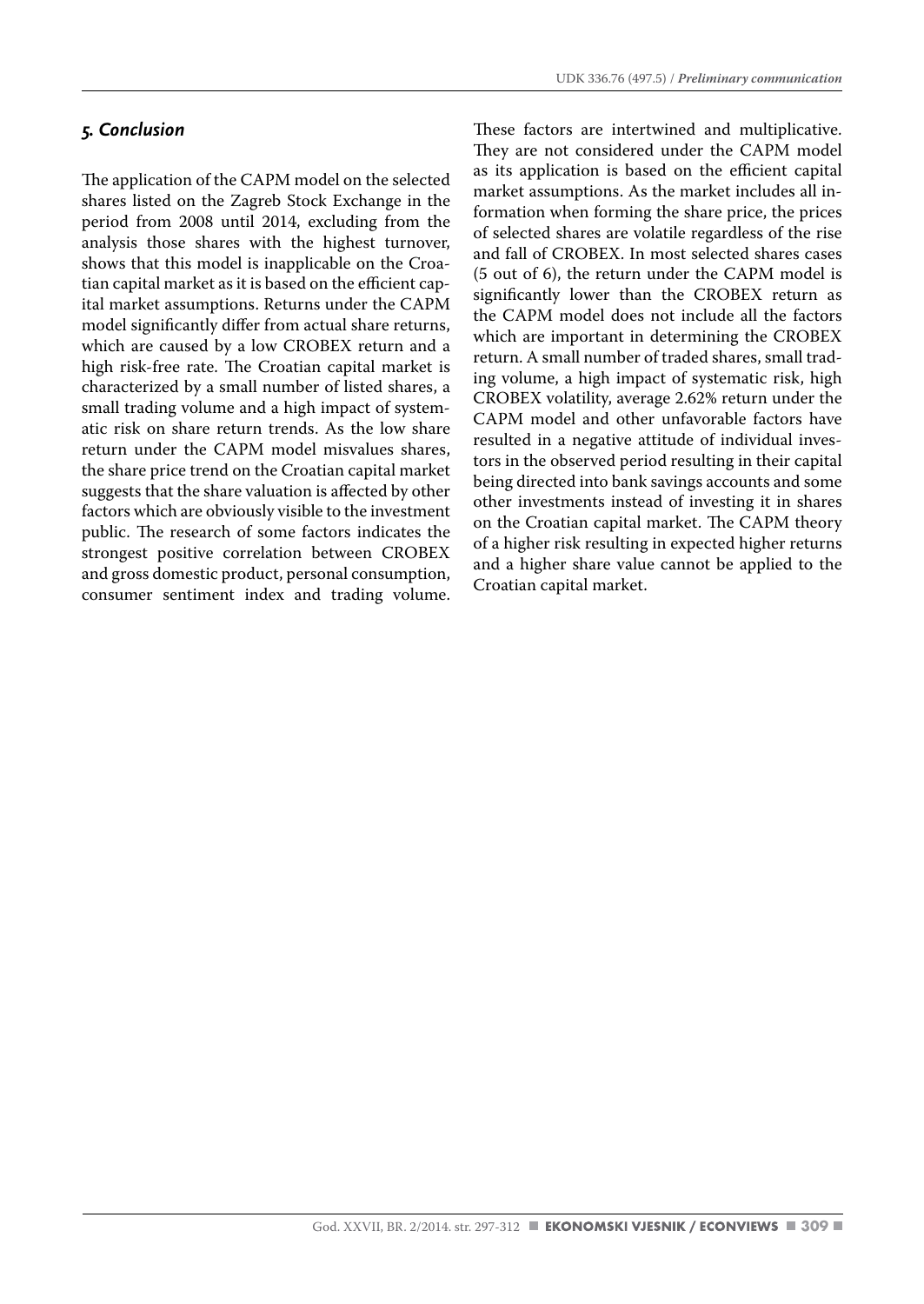#### *5. Conclusion*

The application of the CAPM model on the selected shares listed on the Zagreb Stock Exchange in the period from 2008 until 2014, excluding from the analysis those shares with the highest turnover, shows that this model is inapplicable on the Croatian capital market as it is based on the efficient capital market assumptions. Returns under the CAPM model significantly differ from actual share returns, which are caused by a low CROBEX return and a high risk-free rate. The Croatian capital market is characterized by a small number of listed shares, a small trading volume and a high impact of systematic risk on share return trends. As the low share return under the CAPM model misvalues shares, the share price trend on the Croatian capital market suggests that the share valuation is affected by other factors which are obviously visible to the investment public. The research of some factors indicates the strongest positive correlation between CROBEX and gross domestic product, personal consumption, consumer sentiment index and trading volume. These factors are intertwined and multiplicative. They are not considered under the CAPM model as its application is based on the efficient capital market assumptions. As the market includes all information when forming the share price, the prices of selected shares are volatile regardless of the rise and fall of CROBEX. In most selected shares cases (5 out of 6), the return under the CAPM model is significantly lower than the CROBEX return as the CAPM model does not include all the factors which are important in determining the CROBEX return. A small number of traded shares, small trading volume, a high impact of systematic risk, high CROBEX volatility, average 2.62% return under the CAPM model and other unfavorable factors have resulted in a negative attitude of individual investors in the observed period resulting in their capital being directed into bank savings accounts and some other investments instead of investing it in shares on the Croatian capital market. The CAPM theory of a higher risk resulting in expected higher returns and a higher share value cannot be applied to the Croatian capital market.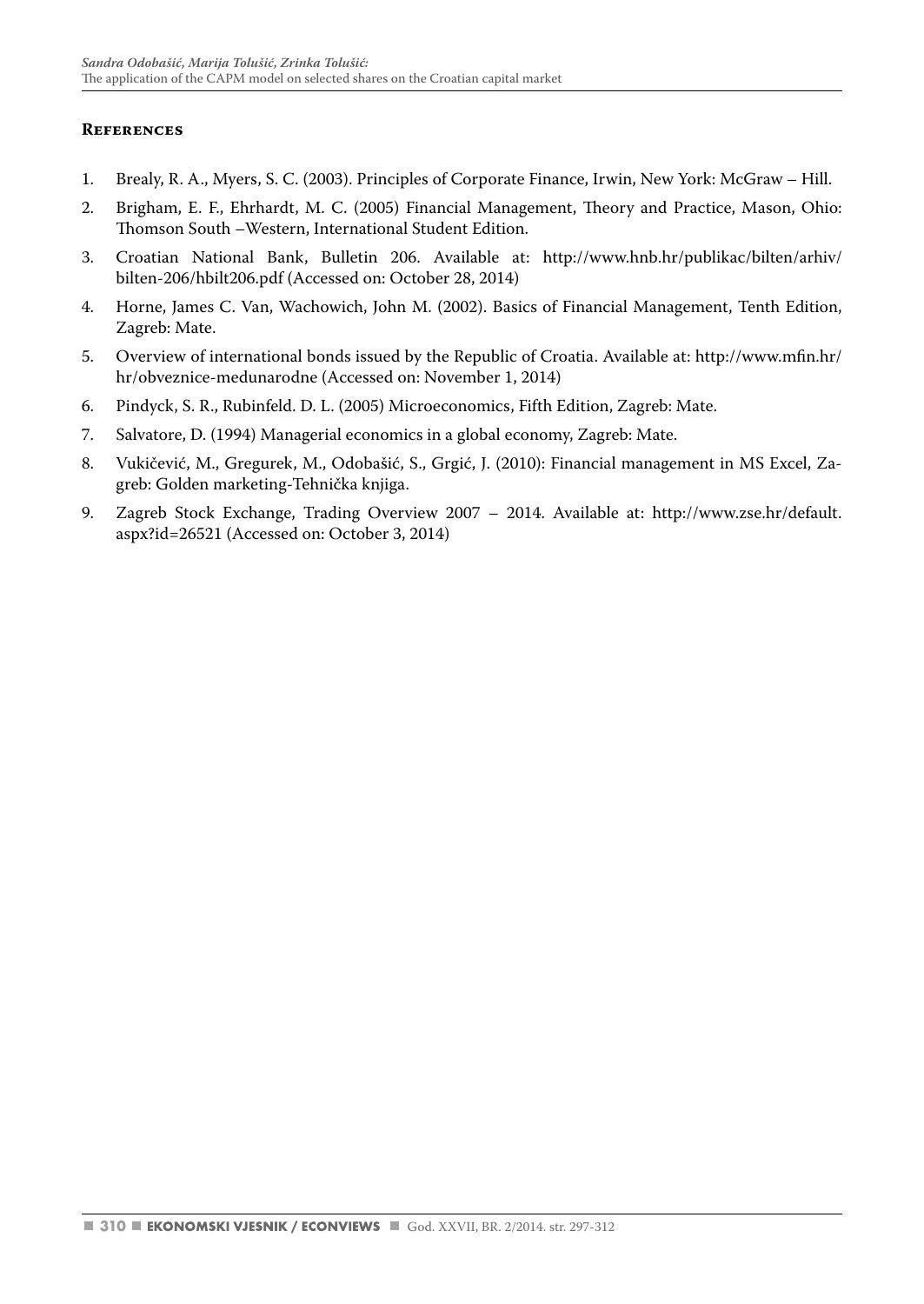#### **References**

- 1. Brealy, R. A., Myers, S. C. (2003). Principles of Corporate Finance, Irwin, New York: McGraw Hill.
- 2. Brigham, E. F., Ehrhardt, M. C. (2005) Financial Management, Theory and Practice, Mason, Ohio: Thomson South –Western, International Student Edition.
- 3. Croatian National Bank, Bulletin 206. Available at: http://www.hnb.hr/publikac/bilten/arhiv/ bilten-206/hbilt206.pdf (Accessed on: October 28, 2014)
- 4. Horne, James C. Van, Wachowich, John M. (2002). Basics of Financial Management, Tenth Edition, Zagreb: Mate.
- 5. Overview of international bonds issued by the Republic of Croatia. Available at: http://www.mfin.hr/ hr/obveznice-medunarodne (Accessed on: November 1, 2014)
- 6. Pindyck, S. R., Rubinfeld. D. L. (2005) Microeconomics, Fifth Edition, Zagreb: Mate.
- 7. Salvatore, D. (1994) Managerial economics in a global economy, Zagreb: Mate.
- 8. Vukičević, M., Gregurek, M., Odobašić, S., Grgić, J. (2010): Financial management in MS Excel, Zagreb: Golden marketing-Tehnička knjiga.
- 9. Zagreb Stock Exchange, Trading Overview 2007 2014. Available at: http://www.zse.hr/default. aspx?id=26521 (Accessed on: October 3, 2014)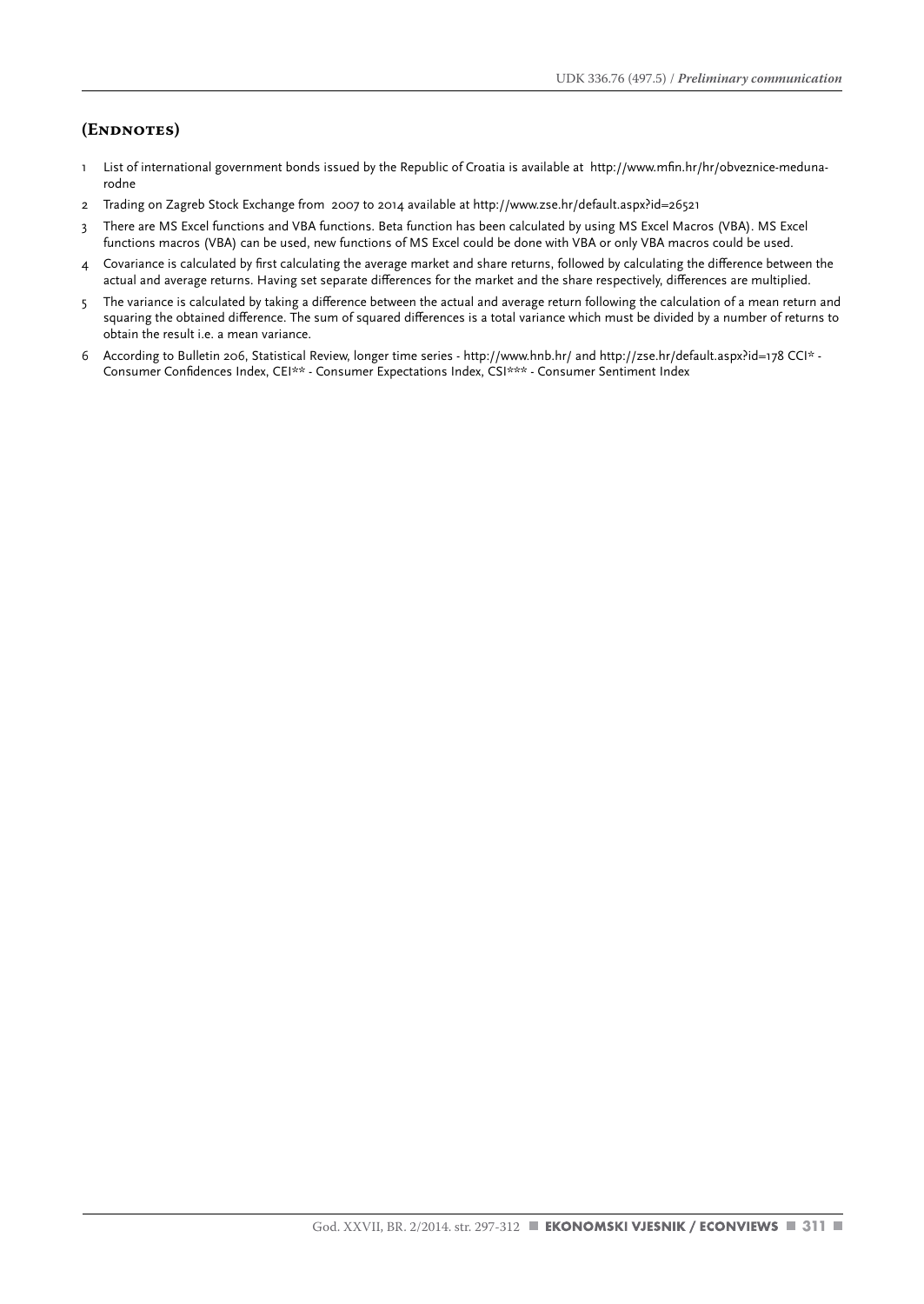#### **(Endnotes)**

- 1 List of international government bonds issued by the Republic of Croatia is available at http://www.mfin.hr/hr/obveznice-medunarodne
- 2 Trading on Zagreb Stock Exchange from 2007 to 2014 available at http://www.zse.hr/default.aspx?id=26521
- 3 There are MS Excel functions and VBA functions. Beta function has been calculated by using MS Excel Macros (VBA). MS Excel functions macros (VBA) can be used, new functions of MS Excel could be done with VBA or only VBA macros could be used.
- 4 Covariance is calculated by first calculating the average market and share returns, followed by calculating the difference between the actual and average returns. Having set separate differences for the market and the share respectively, differences are multiplied.
- 5 The variance is calculated by taking a difference between the actual and average return following the calculation of a mean return and squaring the obtained difference. The sum of squared differences is a total variance which must be divided by a number of returns to obtain the result i.e. a mean variance.
- 6 According to Bulletin 206, Statistical Review, longer time series http://www.hnb.hr/ and http://zse.hr/default.aspx?id=178 CCI\* Consumer Confidences Index, CEI\*\* - Consumer Expectations Index, CSI\*\*\* - Consumer Sentiment Index